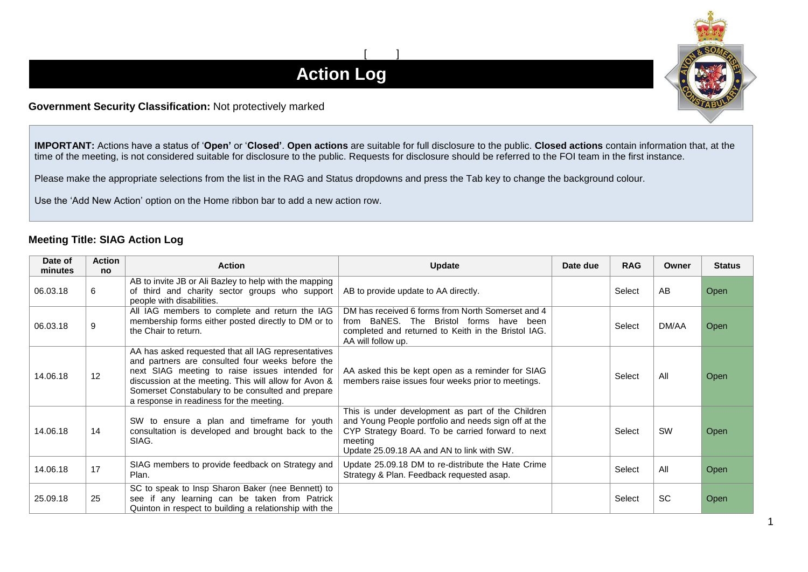## $[$   $]$ **Action Log**

## **Government Security Classification:** Not protectively marked

**IMPORTANT:** Actions have a status of '**Open'** or '**Closed'**. **Open actions** are suitable for full disclosure to the public. **Closed actions** contain information that, at the time of the meeting, is not considered suitable for disclosure to the public. Requests for disclosure should be referred to the FOI team in the first instance.

Please make the appropriate selections from the list in the RAG and Status dropdowns and press the Tab key to change the background colour.

Use the 'Add New Action' option on the Home ribbon bar to add a new action row.

## **Meeting Title: SIAG Action Log**

| Date of<br>minutes | <b>Action</b><br><b>no</b> | <b>Action</b>                                                                                                                                                                                                                                                                                                       | <b>Update</b>                                                                                                                                                                                                           | Date due | <b>RAG</b> | Owner     | <b>Status</b> |
|--------------------|----------------------------|---------------------------------------------------------------------------------------------------------------------------------------------------------------------------------------------------------------------------------------------------------------------------------------------------------------------|-------------------------------------------------------------------------------------------------------------------------------------------------------------------------------------------------------------------------|----------|------------|-----------|---------------|
| 06.03.18           | 6                          | AB to invite JB or Ali Bazley to help with the mapping<br>of third and charity sector groups who support<br>people with disabilities.                                                                                                                                                                               | AB to provide update to AA directly.                                                                                                                                                                                    |          | Select     | AB        | Open          |
| 06.03.18           | 9                          | All IAG members to complete and return the IAG<br>membership forms either posted directly to DM or to<br>the Chair to return.                                                                                                                                                                                       | DM has received 6 forms from North Somerset and 4<br>from BaNES. The Bristol forms have been<br>completed and returned to Keith in the Bristol IAG.<br>AA will follow up.                                               |          | Select     | DM/AA     | Open          |
| 14.06.18           | 12 <sup>°</sup>            | AA has asked requested that all IAG representatives<br>and partners are consulted four weeks before the<br>next SIAG meeting to raise issues intended for<br>discussion at the meeting. This will allow for Avon &<br>Somerset Constabulary to be consulted and prepare<br>a response in readiness for the meeting. | AA asked this be kept open as a reminder for SIAG<br>members raise issues four weeks prior to meetings.                                                                                                                 |          | Select     | All       | Open          |
| 14.06.18           | 14                         | to ensure a plan and timeframe for youth<br>SW<br>consultation is developed and brought back to the<br>SIAG.                                                                                                                                                                                                        | This is under development as part of the Children<br>and Young People portfolio and needs sign off at the<br>CYP Strategy Board. To be carried forward to next<br>meeting<br>Update 25.09.18 AA and AN to link with SW. |          | Select     | <b>SW</b> | Open          |
| 14.06.18           | 17                         | SIAG members to provide feedback on Strategy and<br>Plan.                                                                                                                                                                                                                                                           | Update 25.09.18 DM to re-distribute the Hate Crime<br>Strategy & Plan. Feedback requested asap.                                                                                                                         |          | Select     | All       | Open          |
| 25.09.18           | 25                         | SC to speak to Insp Sharon Baker (nee Bennett) to<br>see if any learning can be taken from Patrick<br>Quinton in respect to building a relationship with the                                                                                                                                                        |                                                                                                                                                                                                                         |          | Select     | <b>SC</b> | Open          |